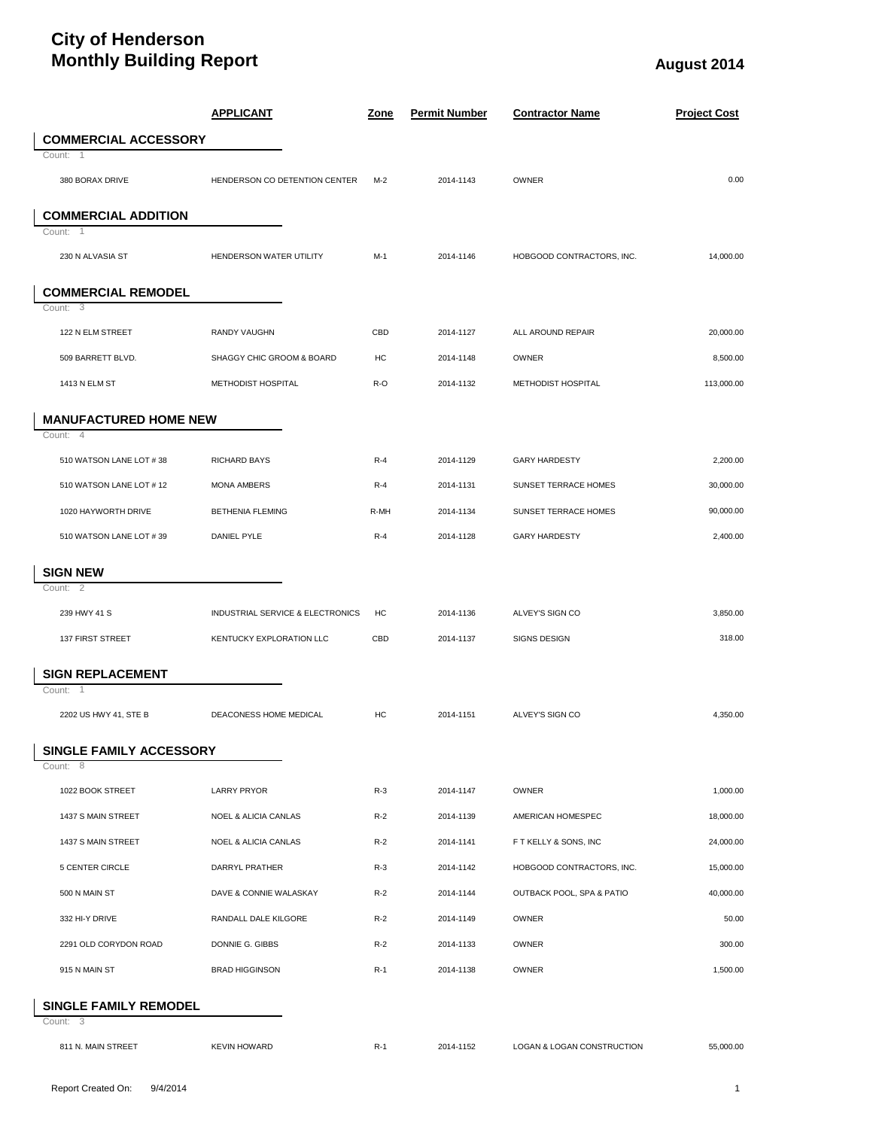## **City of Henderson Monthly Building Report August** 2014

|                                          | <b>APPLICANT</b>                 | <u>Zone</u> | <b>Permit Number</b> | <b>Contractor Name</b>     | <b>Project Cost</b> |
|------------------------------------------|----------------------------------|-------------|----------------------|----------------------------|---------------------|
| <b>COMMERCIAL ACCESSORY</b>              |                                  |             |                      |                            |                     |
| Count: 1                                 |                                  |             |                      |                            |                     |
| 380 BORAX DRIVE                          | HENDERSON CO DETENTION CENTER    | $M-2$       | 2014-1143            | OWNER                      | 0.00                |
| <b>COMMERCIAL ADDITION</b>               |                                  |             |                      |                            |                     |
| Count:<br>$\overline{1}$                 |                                  |             |                      |                            |                     |
| 230 N ALVASIA ST                         | HENDERSON WATER UTILITY          | $M-1$       | 2014-1146            | HOBGOOD CONTRACTORS, INC.  | 14,000.00           |
| <b>COMMERCIAL REMODEL</b>                |                                  |             |                      |                            |                     |
| Count: 3                                 |                                  |             |                      |                            |                     |
| 122 N ELM STREET                         | <b>RANDY VAUGHN</b>              | CBD         | 2014-1127            | ALL AROUND REPAIR          | 20,000.00           |
| 509 BARRETT BLVD.                        | SHAGGY CHIC GROOM & BOARD        | HC          | 2014-1148            | OWNER                      | 8,500.00            |
| 1413 N ELM ST                            | METHODIST HOSPITAL               | R-O         | 2014-1132            | METHODIST HOSPITAL         | 113,000.00          |
| <b>MANUFACTURED HOME NEW</b>             |                                  |             |                      |                            |                     |
| Count: 4                                 |                                  |             |                      |                            |                     |
| 510 WATSON LANE LOT #38                  | <b>RICHARD BAYS</b>              | $R-4$       | 2014-1129            | <b>GARY HARDESTY</b>       | 2,200.00            |
| 510 WATSON LANE LOT # 12                 | <b>MONA AMBERS</b>               | $R-4$       | 2014-1131            | SUNSET TERRACE HOMES       | 30,000.00           |
| 1020 HAYWORTH DRIVE                      | <b>BETHENIA FLEMING</b>          | R-MH        | 2014-1134            | SUNSET TERRACE HOMES       | 90,000.00           |
| 510 WATSON LANE LOT #39                  | <b>DANIEL PYLE</b>               | $R-4$       | 2014-1128            | <b>GARY HARDESTY</b>       | 2,400.00            |
|                                          |                                  |             |                      |                            |                     |
| <b>SIGN NEW</b><br>Count: 2              |                                  |             |                      |                            |                     |
| 239 HWY 41 S                             | INDUSTRIAL SERVICE & ELECTRONICS | HC          | 2014-1136            | ALVEY'S SIGN CO            | 3,850.00            |
| 137 FIRST STREET                         | KENTUCKY EXPLORATION LLC         | CBD         | 2014-1137            | <b>SIGNS DESIGN</b>        | 318.00              |
|                                          |                                  |             |                      |                            |                     |
| <b>SIGN REPLACEMENT</b><br>Count: 1      |                                  |             |                      |                            |                     |
| 2202 US HWY 41, STE B                    | DEACONESS HOME MEDICAL           | HC          | 2014-1151            | ALVEY'S SIGN CO            | 4,350.00            |
|                                          |                                  |             |                      |                            |                     |
| SINGLE FAMILY ACCESSORY<br>Count: 8      |                                  |             |                      |                            |                     |
| 1022 BOOK STREET                         | <b>LARRY PRYOR</b>               | $R-3$       | 2014-1147            | <b>OWNER</b>               | 1,000.00            |
| 1437 S MAIN STREET                       | <b>NOEL &amp; ALICIA CANLAS</b>  | $R-2$       | 2014-1139            | AMERICAN HOMESPEC          | 18,000.00           |
| 1437 S MAIN STREET                       | NOEL & ALICIA CANLAS             | $R-2$       | 2014-1141            | F T KELLY & SONS, INC      | 24,000.00           |
| 5 CENTER CIRCLE                          | DARRYL PRATHER                   | $R-3$       | 2014-1142            | HOBGOOD CONTRACTORS, INC.  | 15,000.00           |
| 500 N MAIN ST                            | DAVE & CONNIE WALASKAY           | $R-2$       | 2014-1144            | OUTBACK POOL, SPA & PATIO  | 40,000.00           |
| 332 HI-Y DRIVE                           | RANDALL DALE KILGORE             | $R-2$       | 2014-1149            | <b>OWNER</b>               | 50.00               |
| 2291 OLD CORYDON ROAD                    | DONNIE G. GIBBS                  | $R-2$       | 2014-1133            | <b>OWNER</b>               | 300.00              |
| 915 N MAIN ST                            | <b>BRAD HIGGINSON</b>            | $R-1$       | 2014-1138            | OWNER                      | 1,500.00            |
|                                          |                                  |             |                      |                            |                     |
| <b>SINGLE FAMILY REMODEL</b><br>Count: 3 |                                  |             |                      |                            |                     |
| 811 N. MAIN STREET                       | <b>KEVIN HOWARD</b>              | $R-1$       | 2014-1152            | LOGAN & LOGAN CONSTRUCTION | 55,000.00           |
|                                          |                                  |             |                      |                            |                     |